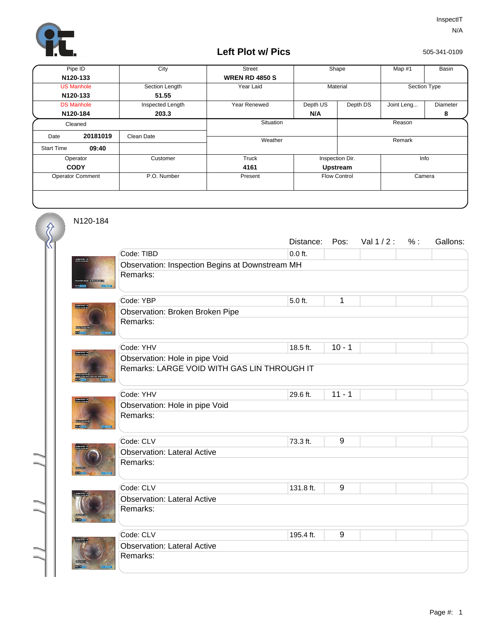

## **Left Plot w/ Pics**

505-341-0109

| Pipe ID                 |          | City             | <b>Street</b>         | Shape                         |          | Map #1       | Basin           |
|-------------------------|----------|------------------|-----------------------|-------------------------------|----------|--------------|-----------------|
|                         | N120-133 |                  | <b>WREN RD 4850 S</b> |                               |          |              |                 |
| <b>US Manhole</b>       |          | Section Length   | Year Laid             | Material                      |          | Section Type |                 |
| N120-133                |          | 51.55            |                       |                               |          |              |                 |
| <b>DS Manhole</b>       |          | Inspected Length | Year Renewed          | Depth US                      | Depth DS | Joint Leng   | <b>Diameter</b> |
| N120-184                |          | 203.3            |                       | N/A                           |          |              | 8               |
| Cleaned                 |          |                  | Situation             |                               | Reason   |              |                 |
| Date                    | 20181019 | Clean Date       | Weather               |                               |          | Remark       |                 |
| <b>Start Time</b>       | 09:40    |                  |                       |                               |          |              |                 |
| Operator                |          | Customer         | Truck                 | Inspection Dir.               |          |              | Info            |
| <b>CODY</b>             |          |                  | 4161                  | <b>Upstream</b>               |          |              |                 |
| <b>Operator Comment</b> |          | P.O. Number      | Present               | <b>Flow Control</b><br>Camera |          |              |                 |
|                         |          |                  |                       |                               |          |              |                 |

N120-184

 $\sum_{n=1}^{n}$ 

|             |                                                 | Distance: | Pos:     | Val $1/2$ : | % : | Gallons: |  |  |  |
|-------------|-------------------------------------------------|-----------|----------|-------------|-----|----------|--|--|--|
|             | Code: TIBD                                      | $0.0$ ft. |          |             |     |          |  |  |  |
| 19991123.12 | Observation: Inspection Begins at Downstream MH |           |          |             |     |          |  |  |  |
|             | Remarks:                                        |           |          |             |     |          |  |  |  |
|             | Code: YBP                                       | 5.0 ft.   | 1        |             |     |          |  |  |  |
|             | Observation: Broken Broken Pipe                 |           |          |             |     |          |  |  |  |
|             | Remarks:                                        |           |          |             |     |          |  |  |  |
|             | Code: YHV                                       | 18.5 ft.  | $10 - 1$ |             |     |          |  |  |  |
|             | Observation: Hole in pipe Void                  |           |          |             |     |          |  |  |  |
|             | Remarks: LARGE VOID WITH GAS LIN THROUGH IT     |           |          |             |     |          |  |  |  |
|             | Code: YHV                                       | 29.6 ft.  | $11 - 1$ |             |     |          |  |  |  |
|             | Observation: Hole in pipe Void                  |           |          |             |     |          |  |  |  |
|             | Remarks:                                        |           |          |             |     |          |  |  |  |
|             | Code: CLV                                       | 73.3 ft.  | $9\,$    |             |     |          |  |  |  |
|             | <b>Observation: Lateral Active</b>              |           |          |             |     |          |  |  |  |
|             | Remarks:                                        |           |          |             |     |          |  |  |  |
|             | Code: CLV                                       | 131.8 ft. | 9        |             |     |          |  |  |  |
|             | <b>Observation: Lateral Active</b>              |           |          |             |     |          |  |  |  |
|             | Remarks:                                        |           |          |             |     |          |  |  |  |
|             | Code: CLV                                       | 195.4 ft. | 9        |             |     |          |  |  |  |
|             | <b>Observation: Lateral Active</b>              |           |          |             |     |          |  |  |  |
|             | Remarks:                                        |           |          |             |     |          |  |  |  |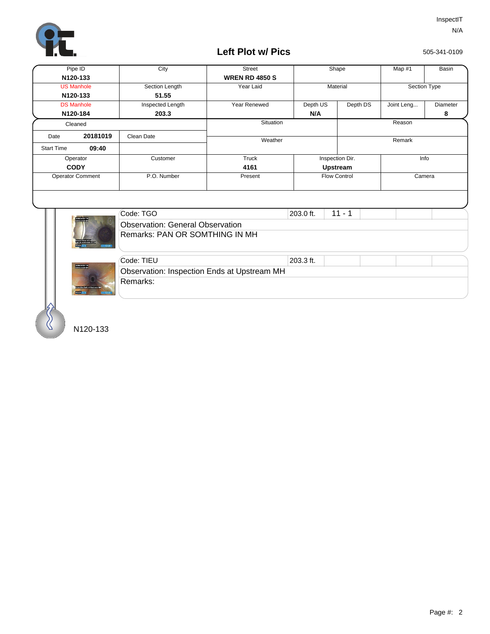

## **Left Plot w/ Pics**

505-341-0109

| Pipe ID                    |                   | City                             | <b>Street</b>         |           | Shape               |            | Basin        |  |
|----------------------------|-------------------|----------------------------------|-----------------------|-----------|---------------------|------------|--------------|--|
| N120-133                   |                   |                                  | <b>WREN RD 4850 S</b> |           |                     |            |              |  |
|                            | <b>US Manhole</b> | Section Length                   | Year Laid             |           | Material            |            | Section Type |  |
|                            | N120-133          | 51.55                            |                       |           |                     |            |              |  |
|                            | <b>DS Manhole</b> | Inspected Length                 | Year Renewed          | Depth US  | Depth DS            | Joint Leng | Diameter     |  |
|                            | N120-184          | 203.3                            |                       | N/A       |                     |            | 8            |  |
| Cleaned                    |                   | Situation                        |                       |           | Reason              |            |              |  |
| Date                       | 20181019          | Clean Date                       |                       |           |                     |            |              |  |
| 09:40<br><b>Start Time</b> |                   |                                  | Weather               |           |                     | Remark     |              |  |
| Operator                   |                   | Customer                         | Truck                 |           | Inspection Dir.     |            | Info         |  |
| <b>CODY</b>                |                   |                                  | 4161                  |           | <b>Upstream</b>     |            |              |  |
| <b>Operator Comment</b>    |                   | P.O. Number                      | Present               |           | <b>Flow Control</b> |            | Camera       |  |
|                            |                   |                                  |                       |           |                     |            |              |  |
|                            |                   | Code: TGO                        |                       | 203.0 ft. | $11 - 1$            |            |              |  |
|                            | <b>MARINE</b>     | Obecniction: Conoral Obecniction |                       |           |                     |            |              |  |



|  | Code: TGO                        | 203.0 ft. | $11 - 1$ |  |  |  |  |  |  |
|--|----------------------------------|-----------|----------|--|--|--|--|--|--|
|  | Observation: General Observation |           |          |  |  |  |  |  |  |
|  | Remarks: PAN OR SOMTHING IN MH   |           |          |  |  |  |  |  |  |
|  |                                  |           |          |  |  |  |  |  |  |



| Code: TIEU                                  | 1203.3 ft. |  |  |  |  |
|---------------------------------------------|------------|--|--|--|--|
| Observation: Inspection Ends at Upstream MH |            |  |  |  |  |
| Remarks:                                    |            |  |  |  |  |

N120-133

 $\mathcal{S}$